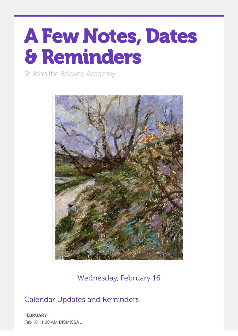# AFew Notes, Dates &Reminders

St John the Beloved Academy



Wednesday, February 16

Calendar Updates and Reminders

**FEBRUARY** Feb 18 11:30 AM DISMISSAL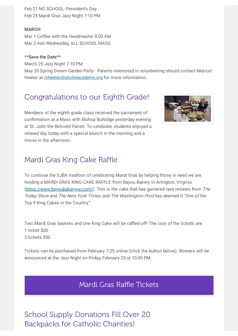Feb 21 NO SCHOOL- President's Day Feb 25 Mardi Gras Jazz Night 7-10 PM

#### **MARCH**

Mar 1 Coffee with the Headmaster 8:00 AM Mar 2 Ash Wednesday, ALL SCHOOL MASS

#### **\*\*Save the Date\*\***

March 25 Jazz Night 7-10 PM May 20 Spring Dream Garden Party - Parents interested in volunteering should contact Maricel Heeter at [mheeter@stjohnacademy.org](mailto:mheeter@stjohnacademy.org) for more information.

## Congratulations to our Eighth Grade!

Members of the eighth grade class received the sacrament of confirmation at a Mass with Bishop Burbidge yesterday evening at St. John the Beloved Parish. To celebrate, students enjoyed a relaxed day today with a special brunch in the morning and a movie in the afternoon.



## Mardi Gras King Cake Raffle

To continue the SJBA tradition of celebrating Mardi Gras by helping those in need we are holding a MARDI GRAS KING CAKE RAFFLE from Bayou Bakery in Arlington, Virginia ([https://www.bayoubakeryva.com/\)](https://www.bayoubakeryva.com/). This is the cake that has garnered rave reviews from The Today Show and The New York Times, and The Washington Post has deemed it "One of the Top 5 King Cakes in the Country."

Two Mardi Gras baskets and one King Cake will be raffled off! The cost of the tickets are: 1 ticket \$20 3 tickets \$50

Tickets can be purchased from February 7-25 online (click the button below). Winners will be announced at the Jazz Night on Friday, February 25 at 10:00 PM.

Mardi Gras Raffle [Tickets](https://stjohnacademy.org/annual-mardi-gras-raffle/)

School Supply Donations Fill Over 20 Backpacks for Catholic Charities!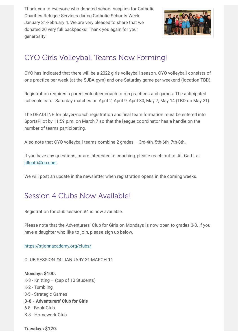Thank you to everyone who donated school supplies for Catholic Charities Refugee Services during Catholic Schools Week January 31-February 4. We are very pleased to share that we donated 20 very full backpacks! Thank you again for your generosity!



# CYO Girls Volleyball Teams Now Forming!

CYO has indicated that there will be a 2022 girls volleyball season. CYO volleyball consists of one practice per week (at the SJBA gym) and one Saturday game per weekend (location TBD).

Registration requires a parent volunteer coach to run practices and games. The anticipated schedule is for Saturday matches on April 2; April 9; April 30; May 7; May 14 (TBD on May 21).

The DEADLINE for player/coach registration and final team formation must be entered into SportsPilot by 11:59 p.m. on March 7 so that the league coordinator has a handle on the number of teams participating.

Also note that CYO volleyball teams combine 2 grades – 3rd-4th, 5th-6th, 7th-8th.

If you have any questions, or are interested in coaching, please reach out to Jill Gatti. at [jillgatti@cox.net.](mailto:jillgatti@cox.net)

We will post an update in the newsletter when registration opens in the coming weeks.

## Session 4 Clubs Now Available!

Registration for club session #4 is now available.

Please note that the Adventurers' Club for Girls on Mondays is now open to grades 3-8. If you have a daughter who like to join, please sign up below.

<https://stjohnacademy.org/clubs/>

CLUB SESSION #4: JANUARY 31-MARCH 11

**Mondays \$100:** K-3 - Knitting – (cap of 10 Students) K-2 - Tumbling 3-5 - Strategic Games **3-8 - Adventurers' Club for Girls** 6-8 - Book Club K-8 - Homework Club

**Tuesdays \$120:**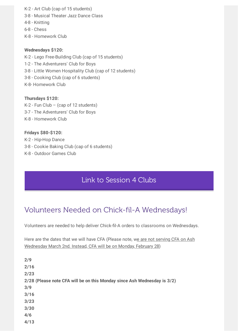K-2 - Art Club (cap of 15 students) 3-8 - Musical Theater Jazz Dance Class 4-8 - Knitting 6-8 - Chess K-8 - Homework Club

#### **Wednesdays \$120:**

K-2 - Lego Free-Building Club (cap of 15 students) 1-2 - The Adventurers' Club for Boys 3-8 - Little Women Hospitality Club (cap of 12 students) 3-8 - Cooking Club (cap of 6 students) K-8- Homework Club

**Thursdays \$120:**  $K-2$  - Fun Club – (cap of 12 students) 3-7 - The Adventurers' Club for Boys

K-8 - Homework Club

#### **Fridays \$80-\$120:**

K-2 - Hip-Hop Dance 3-8 - Cookie Baking Club (cap of 6 students) K-8 - Outdoor Games Club

## Link to [Session](https://stjohnacademy.org/clubs/) 4 Clubs

# Volunteers Needed on Chick-fil-A Wednesdays!

Volunteers are needed to help deliver Chick-fil-A orders to classrooms on Wednesdays.

Here are the dates that we will have CFA (Please note, we are not serving CFA on Ash Wednesday March 2nd. Instead, CFA will be on Monday, February 28)

| 2/9                                                                      |
|--------------------------------------------------------------------------|
| 2/16                                                                     |
| 2/23                                                                     |
| 2/28 (Please note CFA will be on this Monday since Ash Wednesday is 3/2) |
| 3/9                                                                      |
| 3/16                                                                     |
| 3/23                                                                     |
| 3/30                                                                     |
| 4/6                                                                      |
| 4/13                                                                     |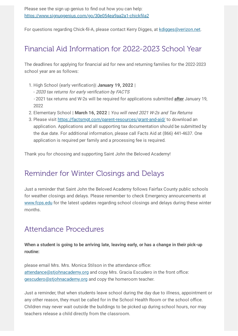Please see the sign up genius to find out how you can help: <https://www.signupgenius.com/go/30e054ea9aa2a1-chickfila2>

For questions regarding Chick-fil-A, please contact Kerry Digges, at [kdigges@verizon.net.](mailto:kdigges@verizon.net)

# Financial Aid Information for 2022-2023 School Year

The deadlines for applying for financial aid for new and returning families for the 2022-2023 school year are as follows:

- 1. High School (early verification)| **January 19, 2022** |
	- 2020 tax returns for early verification by FACTS
	- 2021 tax returns and W-2s will be required for applications submitted **after** January 19, 2022
- 2. Elementary School | **March 16, 2022** | You will need 2021 W-2s and Tax Returns
- 3. Please visit <https://factsmgt.com/parent-resources/grant-and-aid/> to download an application. Applications and all supporting tax documentation should be submitted by the due date. For additional information, please call Facts Aid at (866) 441-4637. One application is required per family and a processing fee is required.

Thank you for choosing and supporting Saint John the Beloved Academy!

## Reminder for Winter Closings and Delays

Just a reminder that Saint John the Beloved Academy follows Fairfax County public schools for weather closings and delays. Please remember to check Emergency announcements at [www.fcps.edu](http://www.fcps.edu/) for the latest updates regarding school closings and delays during these winter months.

## Attendance Procedures

**When a student is going to be arriving late, leaving early, or has a change in their pick-up routine:**

please email Mrs. Mrs. Monica Stilson in the attendance office: [attendance@stjohnacademy.org](mailto:attendance@stjohnacademy.org) and copy Mrs. Gracia Escudero in the front office: [gescudero@stjohnacademy.org](mailto:gescudero@stjohnacademy.org) and copy the homeroom teacher.

Just a reminder, that when students leave school during the day due to illness, appointment or any other reason, they must be called for in the School Health Room or the school office. Children may never wait outside the buildings to be picked up during school hours, nor may teachers release a child directly from the classroom.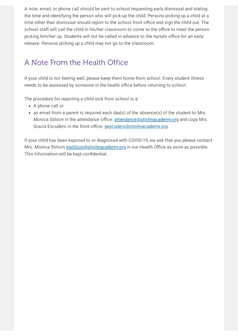A note, email, or phone call should be sent to school requesting early dismissal and stating the time and identifying the person who will pick-up the child. Persons picking up a child at a time other than dismissal should report to the school front office and sign the child out. The school staff will call the child in his/her classroom to come to the office to meet the person picking him/her up. Students will not be called in advance to the nurse's office for an early release. Persons picking up a child may not go to the classroom.

# A Note From the Health Office

If your child is not feeling well, please keep them home from school. Every student illness needs to be assessed by someone in the health office before returning to school.

The procedure for reporting a child sick from school is a:

- A phone call or
- an email from a parent is required each day(s) of the absence(s) of the student to Mrs. Monica Stilson in the attendance office: [attendance@stjohnacademy.org](mailto:attendance@stjohnacademy.org) and copy Mrs. Gracia Escudero in the front office: [gescudero@stjohnacademy.org](mailto:gescudero@stjohnacademy.org).

If your child has been exposed to or diagnosed with COVID-19, we ask that you please contact Mrs. Monica Stilson [mstilson@stjohnacademy.org](mailto:mstilson@stjohnacademy.org) in our Health Office as soon as possible. This information will be kept confidential.